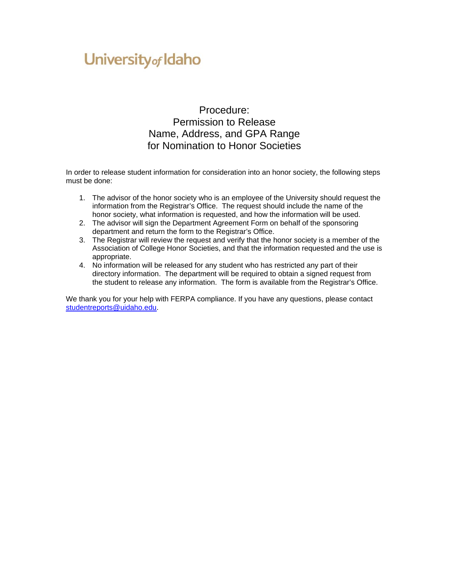# University of Idaho

Procedure: Permission to Release Name, Address, and GPA Range for Nomination to Honor Societies

In order to release student information for consideration into an honor society, the following steps must be done:

- 1. The advisor of the honor society who is an employee of the University should request the information from the Registrar's Office. The request should include the name of the honor society, what information is requested, and how the information will be used.
- 2. The advisor will sign the Department Agreement Form on behalf of the sponsoring department and return the form to the Registrar's Office.
- 3. The Registrar will review the request and verify that the honor society is a member of the Association of College Honor Societies, and that the information requested and the use is appropriate.
- 4. No information will be released for any student who has restricted any part of their directory information. The department will be required to obtain a signed request from the student to release any information. The form is available from the Registrar's Office.

We thank you for your help with FERPA compliance. If you have any questions, please contact [studentreports@uidaho.edu.](mailto:studentreports@uidaho.edu)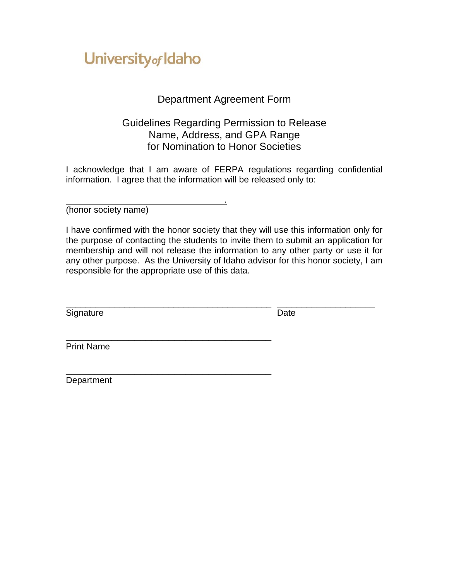# University of Idaho

<u>. Andre Stadt i den stadt i den stadt i den stadt i den stadt i den stadt i den stadt i den stadt i den stadt</u>

\_\_\_\_\_\_\_\_\_\_\_\_\_\_\_\_\_\_\_\_\_\_\_\_\_\_\_\_\_\_\_\_\_\_\_\_

### Department Agreement Form

#### Guidelines Regarding Permission to Release Name, Address, and GPA Range for Nomination to Honor Societies

I acknowledge that I am aware of FERPA regulations regarding confidential information. I agree that the information will be released only to:

(honor society name)

I have confirmed with the honor society that they will use this information only for the purpose of contacting the students to invite them to submit an application for membership and will not release the information to any other party or use it for any other purpose. As the University of Idaho advisor for this honor society, I am responsible for the appropriate use of this data.

\_\_\_\_\_\_\_\_\_\_\_\_\_\_\_\_\_\_\_\_\_\_\_\_\_\_\_\_\_\_\_\_\_\_\_\_\_\_\_\_\_\_ \_\_\_\_\_\_\_\_\_\_\_\_\_\_\_\_\_\_\_\_

Signature Date Date

\_\_\_\_\_\_\_\_\_\_\_\_\_\_\_\_\_\_\_\_\_\_\_\_\_\_\_\_\_\_\_\_\_\_\_\_ Print Name

**Department**